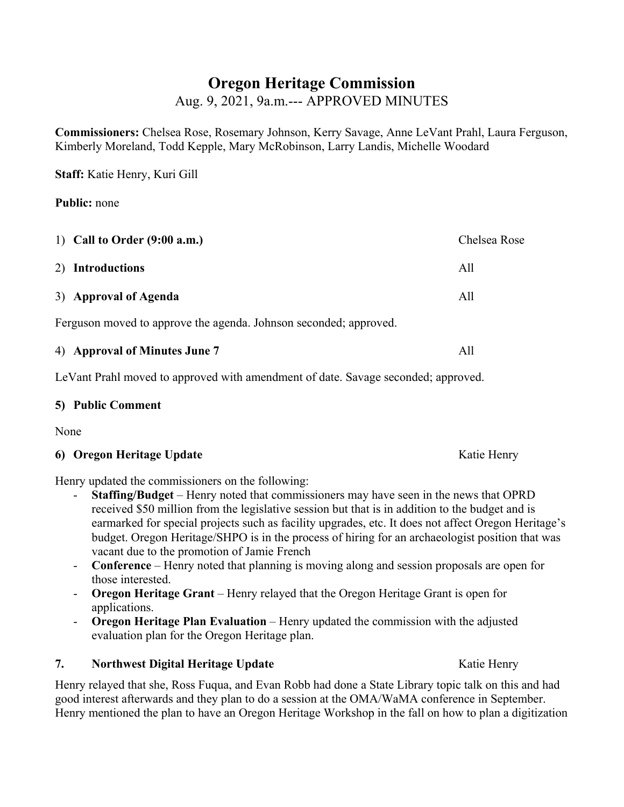# **Oregon Heritage Commission**

Aug. 9, 2021, 9a.m.--- APPROVED MINUTES

**Commissioners:** Chelsea Rose, Rosemary Johnson, Kerry Savage, Anne LeVant Prahl, Laura Ferguson, Kimberly Moreland, Todd Kepple, Mary McRobinson, Larry Landis, Michelle Woodard

**Staff:** Katie Henry, Kuri Gill

**Public:** none

| 1) Call to Order $(9:00$ a.m.)                                    | Chelsea Rose |  |
|-------------------------------------------------------------------|--------------|--|
| 2) Introductions                                                  | All          |  |
| 3) Approval of Agenda                                             | All          |  |
| Ferguson moved to approve the agenda. Johnson seconded; approved. |              |  |

| 4) Approval of Minutes June 7 |  |
|-------------------------------|--|
|-------------------------------|--|

LeVant Prahl moved to approved with amendment of date. Savage seconded; approved.

### **5) Public Comment**

None

# **6) Oregon Heritage Update** Katie Henry **Katie Henry**

Henry updated the commissioners on the following:

- **Staffing/Budget** Henry noted that commissioners may have seen in the news that OPRD received \$50 million from the legislative session but that is in addition to the budget and is earmarked for special projects such as facility upgrades, etc. It does not affect Oregon Heritage's budget. Oregon Heritage/SHPO is in the process of hiring for an archaeologist position that was vacant due to the promotion of Jamie French
- **Conference** Henry noted that planning is moving along and session proposals are open for those interested.
- **Oregon Heritage Grant** Henry relayed that the Oregon Heritage Grant is open for applications.
- **Oregon Heritage Plan Evaluation** Henry updated the commission with the adjusted evaluation plan for the Oregon Heritage plan.

# **7. Northwest Digital Heritage Update Research 2016** Katie Henry

Henry relayed that she, Ross Fuqua, and Evan Robb had done a State Library topic talk on this and had good interest afterwards and they plan to do a session at the OMA/WaMA conference in September. Henry mentioned the plan to have an Oregon Heritage Workshop in the fall on how to plan a digitization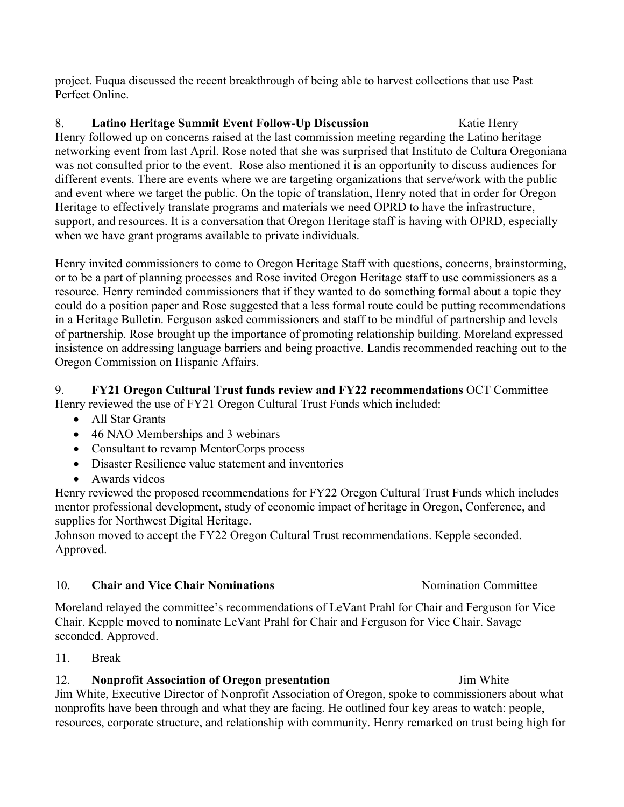project. Fuqua discussed the recent breakthrough of being able to harvest collections that use Past Perfect Online.

8. **Latino Heritage Summit Event Follow-Up Discussion** Katie Henry Henry followed up on concerns raised at the last commission meeting regarding the Latino heritage networking event from last April. Rose noted that she was surprised that Instituto de Cultura Oregoniana was not consulted prior to the event. Rose also mentioned it is an opportunity to discuss audiences for different events. There are events where we are targeting organizations that serve/work with the public and event where we target the public. On the topic of translation, Henry noted that in order for Oregon Heritage to effectively translate programs and materials we need OPRD to have the infrastructure, support, and resources. It is a conversation that Oregon Heritage staff is having with OPRD, especially when we have grant programs available to private individuals.

Henry invited commissioners to come to Oregon Heritage Staff with questions, concerns, brainstorming, or to be a part of planning processes and Rose invited Oregon Heritage staff to use commissioners as a resource. Henry reminded commissioners that if they wanted to do something formal about a topic they could do a position paper and Rose suggested that a less formal route could be putting recommendations in a Heritage Bulletin. Ferguson asked commissioners and staff to be mindful of partnership and levels of partnership. Rose brought up the importance of promoting relationship building. Moreland expressed insistence on addressing language barriers and being proactive. Landis recommended reaching out to the Oregon Commission on Hispanic Affairs.

### 9. **FY21 Oregon Cultural Trust funds review and FY22 recommendations** OCT Committee Henry reviewed the use of FY21 Oregon Cultural Trust Funds which included:

- All Star Grants
- 46 NAO Memberships and 3 webinars
- Consultant to revamp MentorCorps process
- Disaster Resilience value statement and inventories
- Awards videos

Henry reviewed the proposed recommendations for FY22 Oregon Cultural Trust Funds which includes mentor professional development, study of economic impact of heritage in Oregon, Conference, and supplies for Northwest Digital Heritage.

Johnson moved to accept the FY22 Oregon Cultural Trust recommendations. Kepple seconded. Approved.

# 10. **Chair and Vice Chair Nominations** Nomination Committee

Moreland relayed the committee's recommendations of LeVant Prahl for Chair and Ferguson for Vice Chair. Kepple moved to nominate LeVant Prahl for Chair and Ferguson for Vice Chair. Savage seconded. Approved.

11. Break

# 12. **Nonprofit Association of Oregon presentation** Jim White

Jim White, Executive Director of Nonprofit Association of Oregon, spoke to commissioners about what nonprofits have been through and what they are facing. He outlined four key areas to watch: people, resources, corporate structure, and relationship with community. Henry remarked on trust being high for